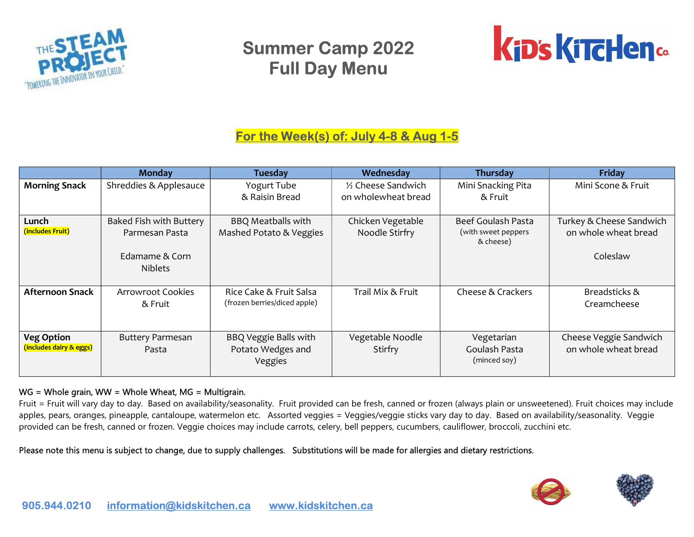



### For the Week(s) of: July 4-8 & Aug 1-5

|                                              | <b>Monday</b>                                                                 | <b>Tuesday</b>                                               | Wednesday                           | Thursday                                               | Friday                                                       |
|----------------------------------------------|-------------------------------------------------------------------------------|--------------------------------------------------------------|-------------------------------------|--------------------------------------------------------|--------------------------------------------------------------|
| <b>Morning Snack</b>                         | Shreddies & Applesauce                                                        | Yogurt Tube                                                  | 1/2 Cheese Sandwich                 | Mini Snacking Pita                                     | Mini Scone & Fruit                                           |
|                                              |                                                                               | & Raisin Bread                                               | on wholewheat bread                 | & Fruit                                                |                                                              |
| Lunch<br>(includes Fruit)                    | Baked Fish with Buttery<br>Parmesan Pasta<br>Edamame & Corn<br><b>Niblets</b> | <b>BBQ Meatballs with</b><br>Mashed Potato & Veggies         | Chicken Vegetable<br>Noodle Stirfry | Beef Goulash Pasta<br>(with sweet peppers<br>& cheese) | Turkey & Cheese Sandwich<br>on whole wheat bread<br>Coleslaw |
| <b>Afternoon Snack</b>                       | <b>Arrowroot Cookies</b><br>& Fruit                                           | Rice Cake & Fruit Salsa<br>(frozen berries/diced apple)      | Trail Mix & Fruit                   | Cheese & Crackers                                      | Breadsticks &<br>Creamcheese                                 |
| <b>Veg Option</b><br>(includes dairy & eggs) | <b>Buttery Parmesan</b><br>Pasta                                              | <b>BBQ Veggie Balls with</b><br>Potato Wedges and<br>Veggies | Vegetable Noodle<br>Stirfry         | Vegetarian<br>Goulash Pasta<br>(minced soy)            | Cheese Veggie Sandwich<br>on whole wheat bread               |

#### WG = Whole grain, WW = Whole Wheat, MG = Multigrain.

Fruit = Fruit will vary day to day. Based on availability/seasonality. Fruit provided can be fresh, canned or frozen (always plain or unsweetened). Fruit choices may include apples, pears, oranges, pineapple, cantaloupe, watermelon etc. Assorted veggies = Veggies/veggie sticks vary day to day. Based on availability/seasonality. Veggie provided can be fresh, canned or frozen. Veggie choices may include carrots, celery, bell peppers, cucumbers, cauliflower, broccoli, zucchini etc.



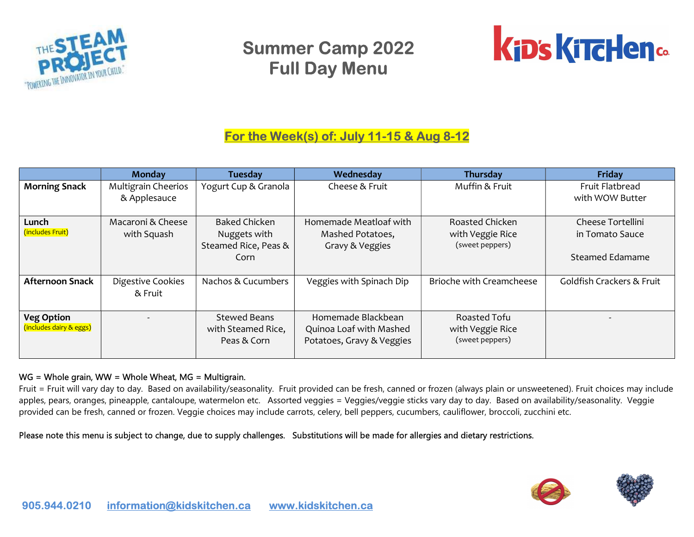



## For the Week(s) of: July 11-15 & Aug 8-12

|                                              | Monday                              | <b>Tuesday</b>                                                       | Wednesday                                                                  | <b>Thursday</b>                                        | Friday                                                         |
|----------------------------------------------|-------------------------------------|----------------------------------------------------------------------|----------------------------------------------------------------------------|--------------------------------------------------------|----------------------------------------------------------------|
| <b>Morning Snack</b>                         | Multigrain Cheerios<br>& Applesauce | Yogurt Cup & Granola                                                 | Cheese & Fruit                                                             | Muffin & Fruit                                         | Fruit Flatbread<br>with WOW Butter                             |
| Lunch<br>(includes Fruit)                    | Macaroni & Cheese<br>with Squash    | <b>Baked Chicken</b><br>Nuggets with<br>Steamed Rice, Peas &<br>Corn | Homemade Meatloaf with<br>Mashed Potatoes,<br>Gravy & Veggies              | Roasted Chicken<br>with Veggie Rice<br>(sweet peppers) | Cheese Tortellini<br>in Tomato Sauce<br><b>Steamed Edamame</b> |
| <b>Afternoon Snack</b>                       | Digestive Cookies<br>& Fruit        | Nachos & Cucumbers                                                   | Veggies with Spinach Dip                                                   | Brioche with Creamcheese                               | Goldfish Crackers & Fruit                                      |
| <b>Veg Option</b><br>(includes dairy & eggs) |                                     | Stewed Beans<br>with Steamed Rice,<br>Peas & Corn                    | Homemade Blackbean<br>Quinoa Loaf with Mashed<br>Potatoes, Gravy & Veggies | Roasted Tofu<br>with Veggie Rice<br>(sweet peppers)    |                                                                |

#### WG = Whole grain, WW = Whole Wheat, MG = Multigrain.

Fruit = Fruit will vary day to day. Based on availability/seasonality. Fruit provided can be fresh, canned or frozen (always plain or unsweetened). Fruit choices may include apples, pears, oranges, pineapple, cantaloupe, watermelon etc. Assorted veggies = Veggies/veggie sticks vary day to day. Based on availability/seasonality. Veggie provided can be fresh, canned or frozen. Veggie choices may include carrots, celery, bell peppers, cucumbers, cauliflower, broccoli, zucchini etc.



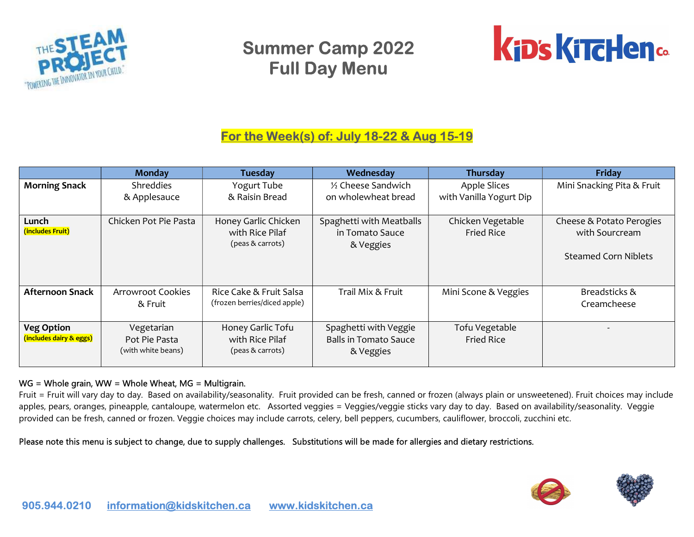



### For the Week(s) of: July 18-22 & Aug 15-19

|                                              | <b>Monday</b>                                     | <b>Tuesday</b>                                              | Wednesday                                                          | Thursday                                       | Friday                                                                    |
|----------------------------------------------|---------------------------------------------------|-------------------------------------------------------------|--------------------------------------------------------------------|------------------------------------------------|---------------------------------------------------------------------------|
| <b>Morning Snack</b>                         | <b>Shreddies</b><br>& Applesauce                  | Yogurt Tube<br>& Raisin Bread                               | 1/2 Cheese Sandwich<br>on wholewheat bread                         | <b>Apple Slices</b><br>with Vanilla Yogurt Dip | Mini Snacking Pita & Fruit                                                |
| Lunch<br>(includes Fruit)                    | Chicken Pot Pie Pasta                             | Honey Garlic Chicken<br>with Rice Pilaf<br>(peas & carrots) | Spaghetti with Meatballs<br>in Tomato Sauce<br>& Veggies           | Chicken Vegetable<br><b>Fried Rice</b>         | Cheese & Potato Perogies<br>with Sourcream<br><b>Steamed Corn Niblets</b> |
| <b>Afternoon Snack</b>                       | <b>Arrowroot Cookies</b><br>& Fruit               | Rice Cake & Fruit Salsa<br>(frozen berries/diced apple)     | Trail Mix & Fruit                                                  | Mini Scone & Veggies                           | Breadsticks &<br>Creamcheese                                              |
| <b>Veg Option</b><br>(includes dairy & eggs) | Vegetarian<br>Pot Pie Pasta<br>(with white beans) | Honey Garlic Tofu<br>with Rice Pilaf<br>(peas & carrots)    | Spaghetti with Veggie<br><b>Balls in Tomato Sauce</b><br>& Veggies | Tofu Vegetable<br><b>Fried Rice</b>            |                                                                           |

#### WG = Whole grain, WW = Whole Wheat, MG = Multigrain.

Fruit = Fruit will vary day to day. Based on availability/seasonality. Fruit provided can be fresh, canned or frozen (always plain or unsweetened). Fruit choices may include apples, pears, oranges, pineapple, cantaloupe, watermelon etc. Assorted veggies = Veggies/veggie sticks vary day to day. Based on availability/seasonality. Veggie provided can be fresh, canned or frozen. Veggie choices may include carrots, celery, bell peppers, cucumbers, cauliflower, broccoli, zucchini etc.